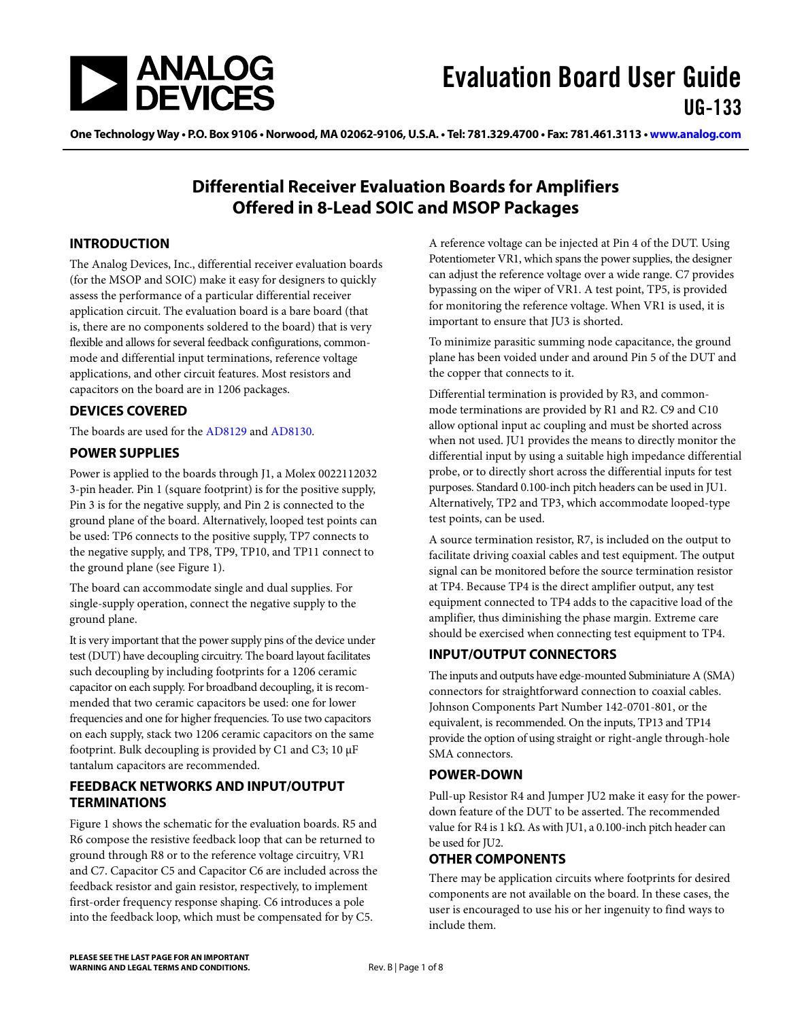

One Technology Way • P.O. Box 9106 • Norwood, MA 02062-9106, U.S.A. • Tel: 781.329.4700 • Fax: 781.461.3113 • [www.analog.com](http://www.analog.com)

### **Differential Receiver Evaluation Boards for Amplifiers Offered in 8-Lead SOIC and MSOP Packages**

### <span id="page-0-0"></span>**INTRODUCTION**

The Analog Devices, Inc., differential receiver evaluation boards (for the MSOP and SOIC) make it easy for designers to quickly assess the performance of a particular differential receiver application circuit. The evaluation board is a bare board (that is, there are no components soldered to the board) that is very flexible and allows for several feedback configurations, commonmode and differential input terminations, reference voltage applications, and other circuit features. Most resistors and capacitors on the board are in 1206 packages.

### <span id="page-0-1"></span>**DEVICES COVERED**

The boards are used for the [AD8129](http://www.analog.com/AD8129) an[d AD8130.](http://www.analog.com/AD8130)

### <span id="page-0-2"></span>**POWER SUPPLIES**

Power is applied to the boards through J1, a Molex 0022112032 3-pin header. Pin 1 (square footprint) is for the positive supply, Pin 3 is for the negative supply, and Pin 2 is connected to the ground plane of the board. Alternatively, looped test points can be used: TP6 connects to the positive supply, TP7 connects to the negative supply, and TP8, TP9, TP10, and TP11 connect to the ground plane (see [Figure 1\)](#page-2-0).

The board can accommodate single and dual supplies. For single-supply operation, connect the negative supply to the ground plane.

It is very important that the power supply pins of the device under test (DUT) have decoupling circuitry. The board layout facilitates such decoupling by including footprints for a 1206 ceramic capacitor on each supply. For broadband decoupling, it is recommended that two ceramic capacitors be used: one for lower frequencies and one for higher frequencies. To use two capacitors on each supply, stack two 1206 ceramic capacitors on the same footprint. Bulk decoupling is provided by C1 and C3; 10 µF tantalum capacitors are recommended.

### <span id="page-0-3"></span>**FEEDBACK NETWORKS AND INPUT/OUTPUT TERMINATIONS**

[Figure 1](#page-2-0) shows the schematic for the evaluation boards. R5 and R6 compose the resistive feedback loop that can be returned to ground through R8 or to the reference voltage circuitry, VR1 and C7. Capacitor C5 and Capacitor C6 are included across the feedback resistor and gain resistor, respectively, to implement first-order frequency response shaping. C6 introduces a pole into the feedback loop, which must be compensated for by C5.

A reference voltage can be injected at Pin 4 of the DUT. Using Potentiometer VR1, which spans the power supplies, the designer can adjust the reference voltage over a wide range. C7 provides bypassing on the wiper of VR1. A test point, TP5, is provided for monitoring the reference voltage. When VR1 is used, it is important to ensure that JU3 is shorted.

To minimize parasitic summing node capacitance, the ground plane has been voided under and around Pin 5 of the DUT and the copper that connects to it.

Differential termination is provided by R3, and commonmode terminations are provided by R1 and R2. C9 and C10 allow optional input ac coupling and must be shorted across when not used. JU1 provides the means to directly monitor the differential input by using a suitable high impedance differential probe, or to directly short across the differential inputs for test purposes. Standard 0.100-inch pitch headers can be used in JU1. Alternatively, TP2 and TP3, which accommodate looped-type test points, can be used.

A source termination resistor, R7, is included on the output to facilitate driving coaxial cables and test equipment. The output signal can be monitored before the source termination resistor at TP4. Because TP4 is the direct amplifier output, any test equipment connected to TP4 adds to the capacitive load of the amplifier, thus diminishing the phase margin. Extreme care should be exercised when connecting test equipment to TP4.

### <span id="page-0-4"></span>**INPUT/OUTPUT CONNECTORS**

The inputs and outputs have edge-mounted Subminiature A (SMA) connectors for straightforward connection to coaxial cables. Johnson Components Part Number 142-0701-801, or the equivalent, is recommended. On the inputs, TP13 and TP14 provide the option of using straight or right-angle through-hole SMA connectors.

### <span id="page-0-5"></span>**POWER-DOWN**

Pull-up Resistor R4 and Jumper JU2 make it easy for the powerdown feature of the DUT to be asserted. The recommended value for R4 is 1 kΩ. As with JU1, a 0.100-inch pitch header can be used for JU2.

### <span id="page-0-6"></span>**OTHER COMPONENTS**

There may be application circuits where footprints for desired components are not available on the board. In these cases, the user is encouraged to use his or her ingenuity to find ways to include them.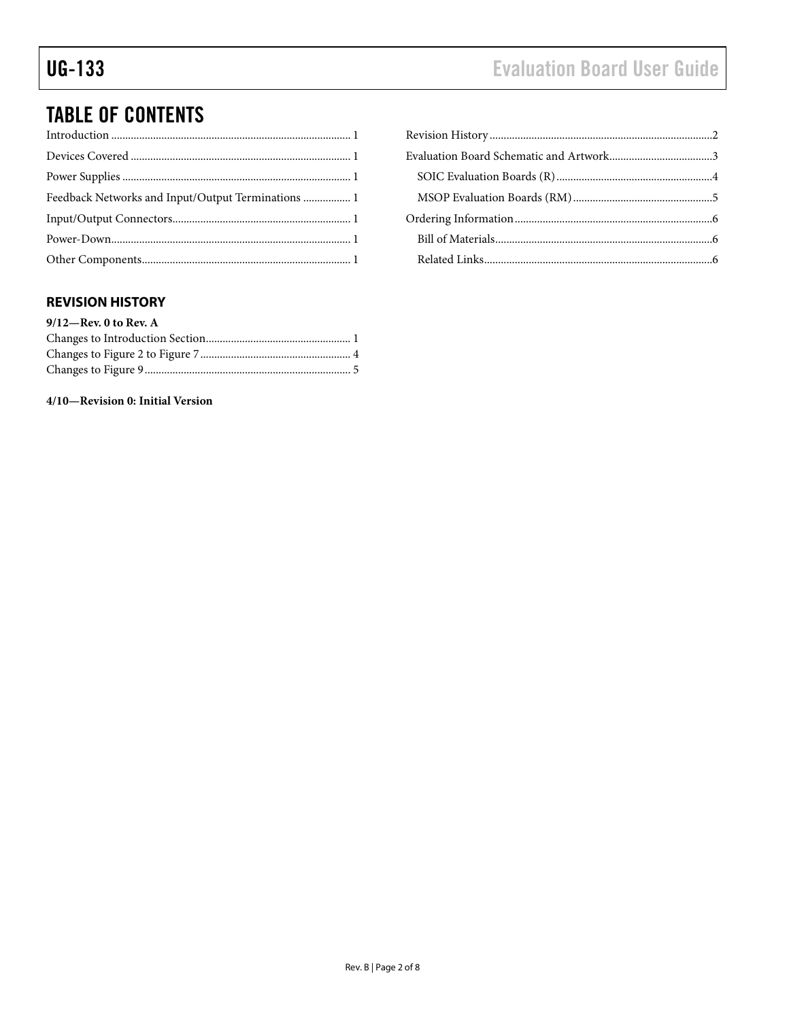# **Evaluation Board User Guide**

# **TABLE OF CONTENTS**

### <span id="page-1-0"></span>**REVISION HISTORY**

| $9/12$ -Rev. 0 to Rev. A |  |
|--------------------------|--|
|                          |  |
|                          |  |
|                          |  |

4/10-Revision 0: Initial Version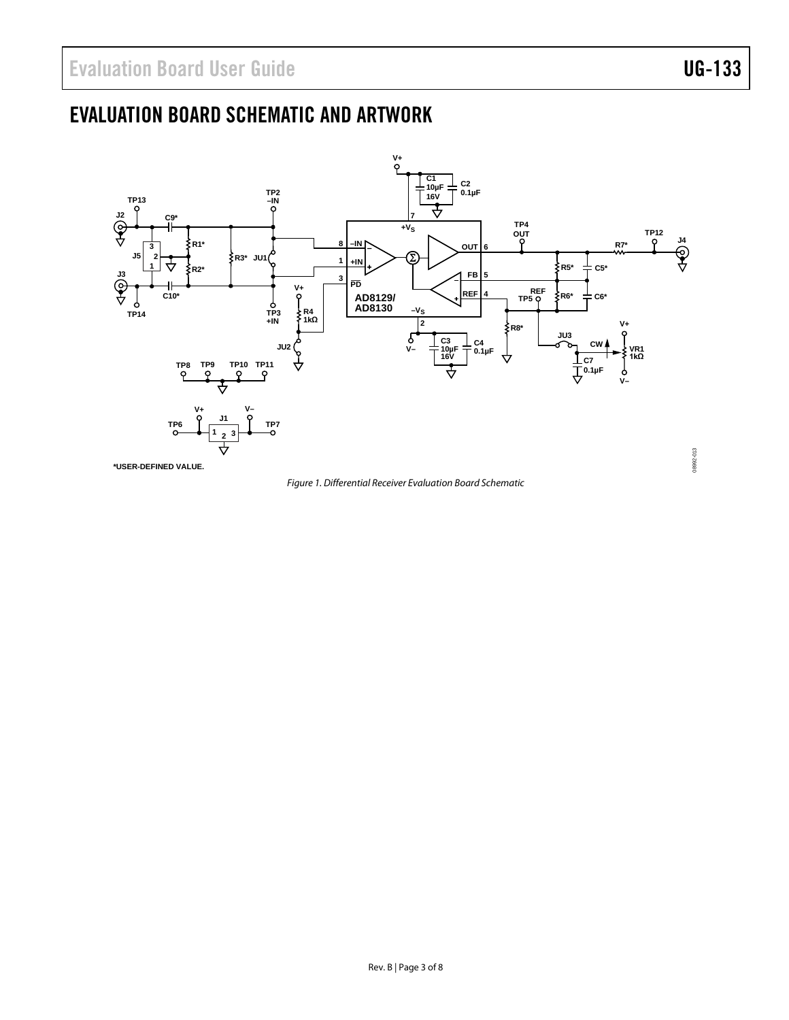# <span id="page-2-1"></span>EVALUATION BOARD SCHEMATIC AND ARTWORK



<span id="page-2-0"></span>*Figure 1. Differential Receiver Evaluation Board Schematic*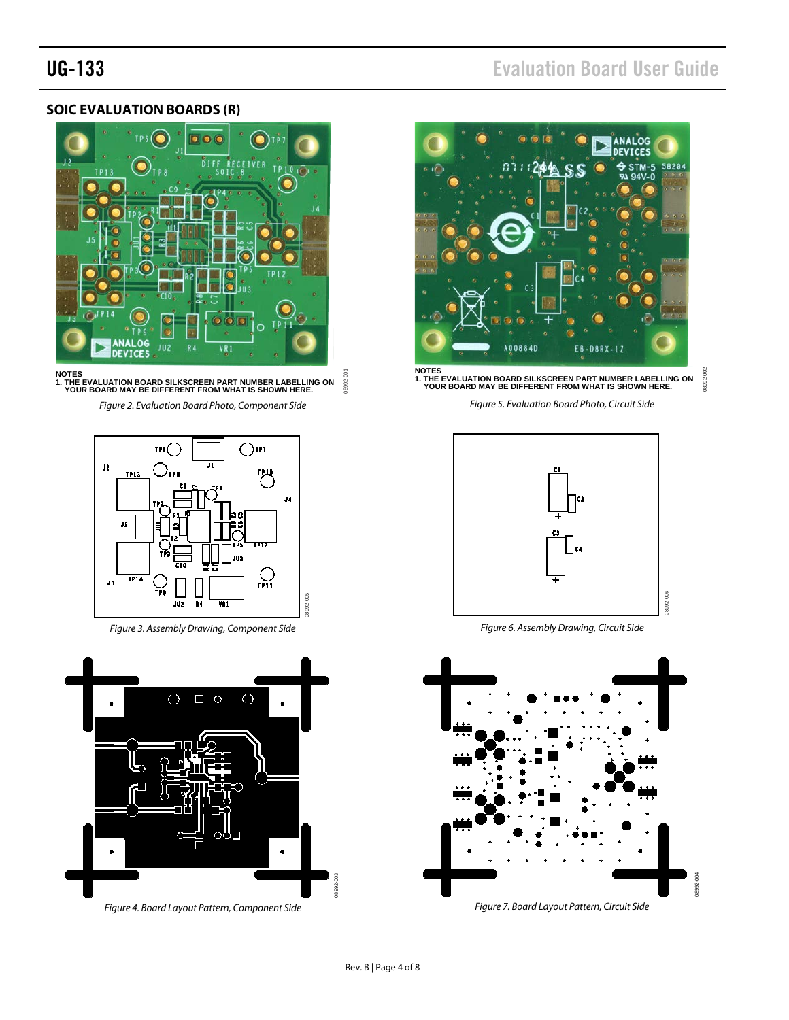### <span id="page-3-0"></span>**SOIC EVALUATION BOARDS (R)**



08992-001 **NOTES 1. THE EVALUATION BOARD SILKSCREEN PART NUMBER LABELLING ON YOUR BOARD MAY BE DIFFERENT FROM WHAT IS SHOWN HERE.** R992-

*Figure 2. Evaluation Board Photo, Component Side* 



*Figure 3. Assembly Drawing, Component Side*



UG-133 Evaluation Board User Guide



**NOTES 1. THE EVALUATION BOARD SILKSCREEN PART NUMBER LABELLING ON YOUR BOARD MAY BE DIFFERENT FROM WHAT IS SHOWN HERE.**

08992-002

8992-00

*Figure 5. Evaluation Board Photo, Circuit Side*



*Figure 6. Assembly Drawing, Circuit Side* 



*Figure 7. Board Layout Pattern, Circuit Side*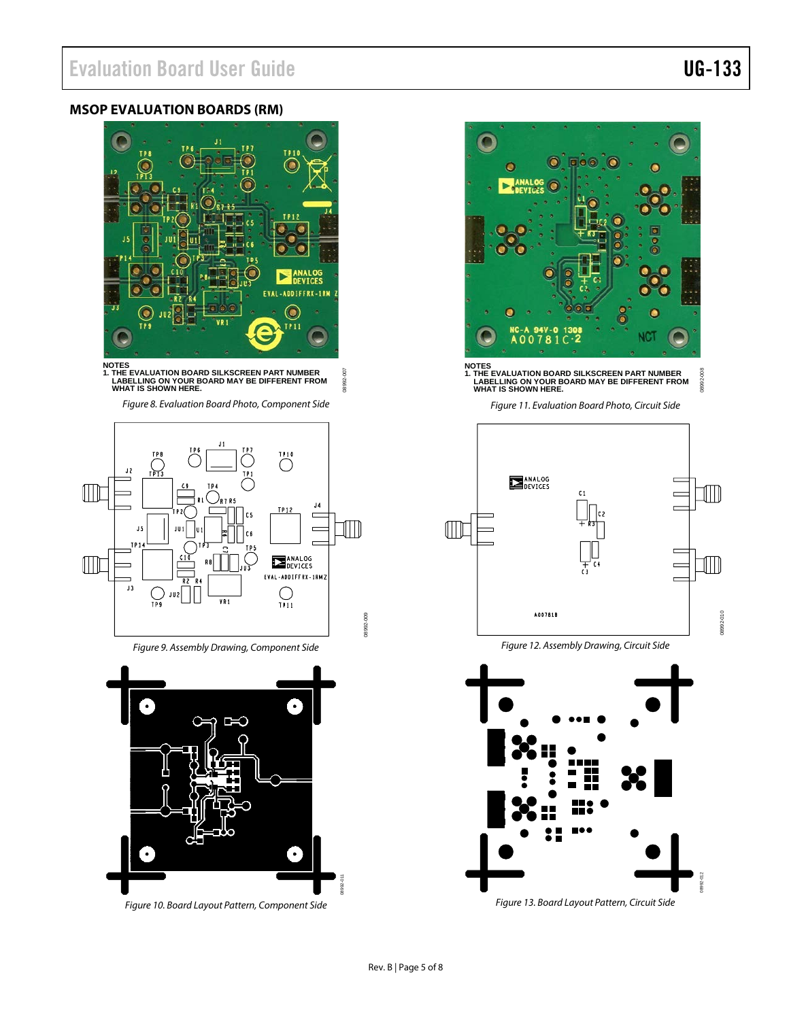### <span id="page-4-0"></span>**MSOP EVALUATION BOARDS (RM)**



**NOTES 1. THE EVALUATION BOARD SILKSCREEN PART NUMBER LABELLING ON YOUR BOARD MAY BE DIFFERENT FROM WHAT IS SHOWN HERE.** 8992-007

08992-007

08992-009

*Figure 8. Evaluation Board Photo, Component Side* 



*Figure 9. Assembly Drawing, Component Side* 



*Figure 10. Board Layout Pattern, Component Side*

 $\overline{\mathbf{C}}$ 3992-00

**NOTES 1. THE EVALUATION BOARD SILKSCREEN PART NUMBER LABELLING ON YOUR BOARD MAY BE DIFFERENT FROM WHAT IS SHOWN HERE.**

*Figure 11. Evaluation Board Photo, Circuit Side*



*Figure 12. Assembly Drawing, Circuit Side*



08992-008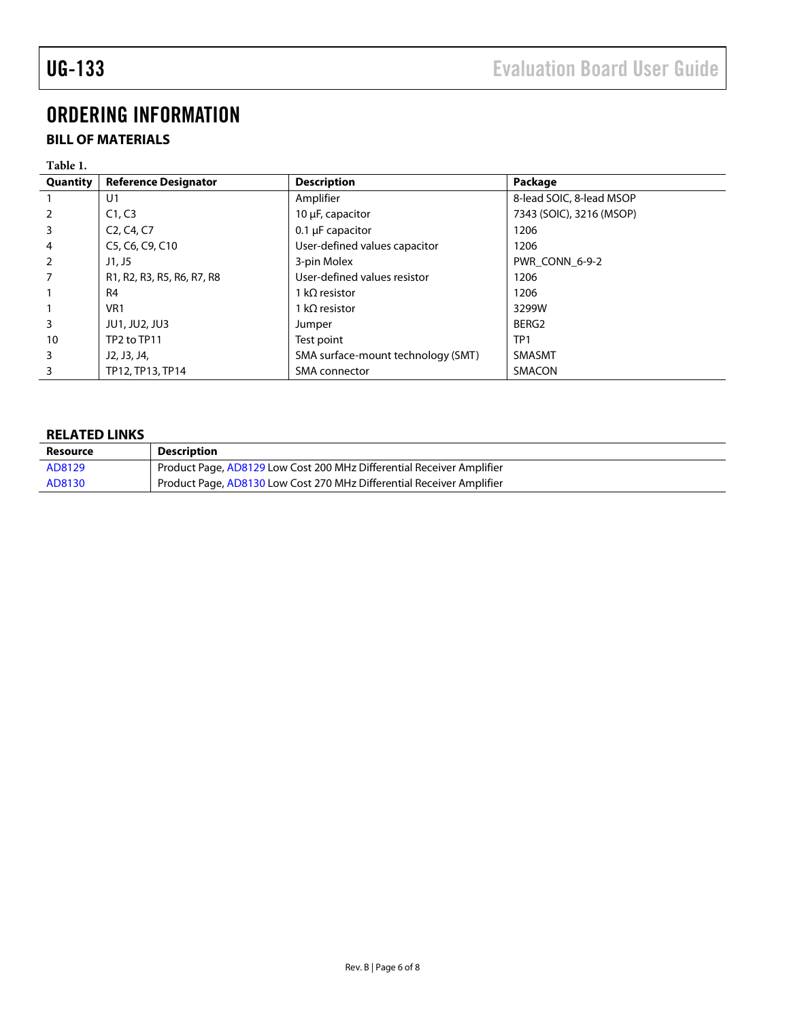# <span id="page-5-0"></span>ORDERING INFORMATION

### <span id="page-5-1"></span>**BILL OF MATERIALS**

| Table 1. |                                                  |                                    |                          |
|----------|--------------------------------------------------|------------------------------------|--------------------------|
| Quantity | <b>Reference Designator</b>                      | <b>Description</b>                 | Package                  |
|          | U1                                               | Amplifier                          | 8-lead SOIC, 8-lead MSOP |
| 2        | C1, C3                                           | 10 µF, capacitor                   | 7343 (SOIC), 3216 (MSOP) |
| 3        | C <sub>2</sub> , C <sub>4</sub> , C <sub>7</sub> | $0.1 \mu F$ capacitor              | 1206                     |
| 4        | C5, C6, C9, C10                                  | User-defined values capacitor      | 1206                     |
| 2        | $J1.$ J5                                         | 3-pin Molex                        | PWR CONN 6-9-2           |
|          | R1, R2, R3, R5, R6, R7, R8                       | User-defined values resistor       | 1206                     |
|          | R <sub>4</sub>                                   | 1 k $\Omega$ resistor              | 1206                     |
|          | VR <sub>1</sub>                                  | 1 k $\Omega$ resistor              | 3299W                    |
| 3        | <b>JU1, JU2, JU3</b>                             | Jumper                             | BERG2                    |
| 10       | TP2 to TP11                                      | Test point                         | TP <sub>1</sub>          |
| 3        | J2, J3, J4,                                      | SMA surface-mount technology (SMT) | <b>SMASMT</b>            |
| 3        | TP12, TP13, TP14                                 | SMA connector                      | <b>SMACON</b>            |

### <span id="page-5-2"></span>**RELATED LINKS**

| Resource | <b>Description</b>                                                    |
|----------|-----------------------------------------------------------------------|
| AD8129   | Product Page, AD8129 Low Cost 200 MHz Differential Receiver Amplifier |
| AD8130   | Product Page, AD8130 Low Cost 270 MHz Differential Receiver Amplifier |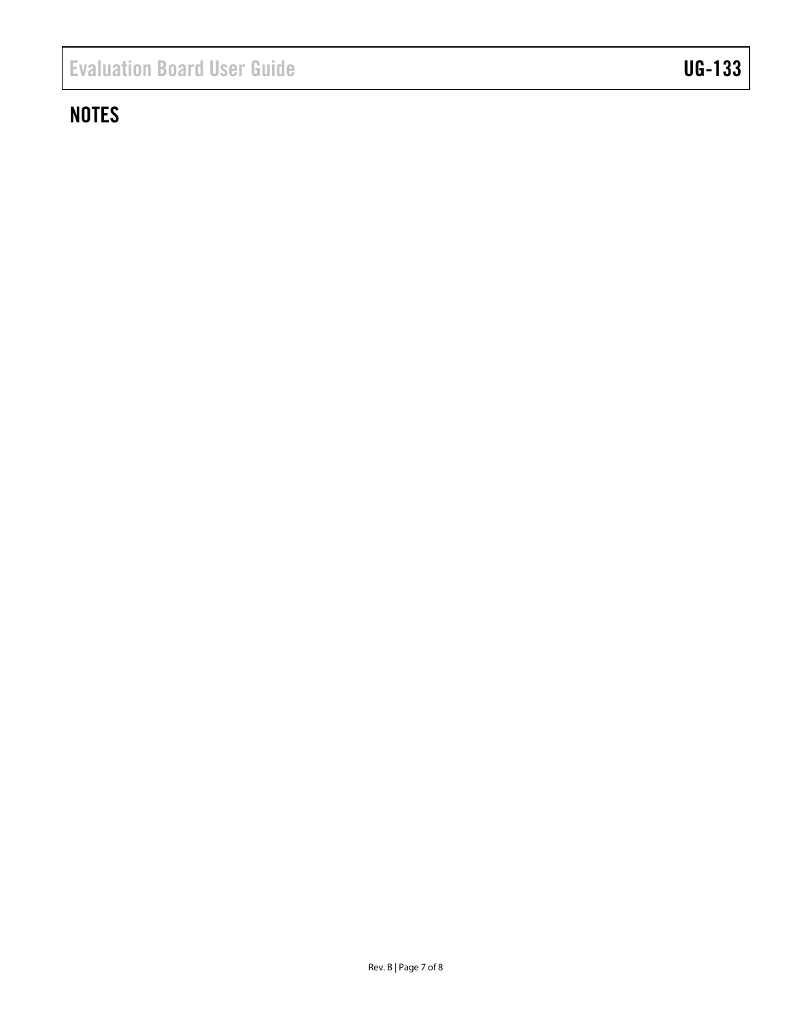# **NOTES**